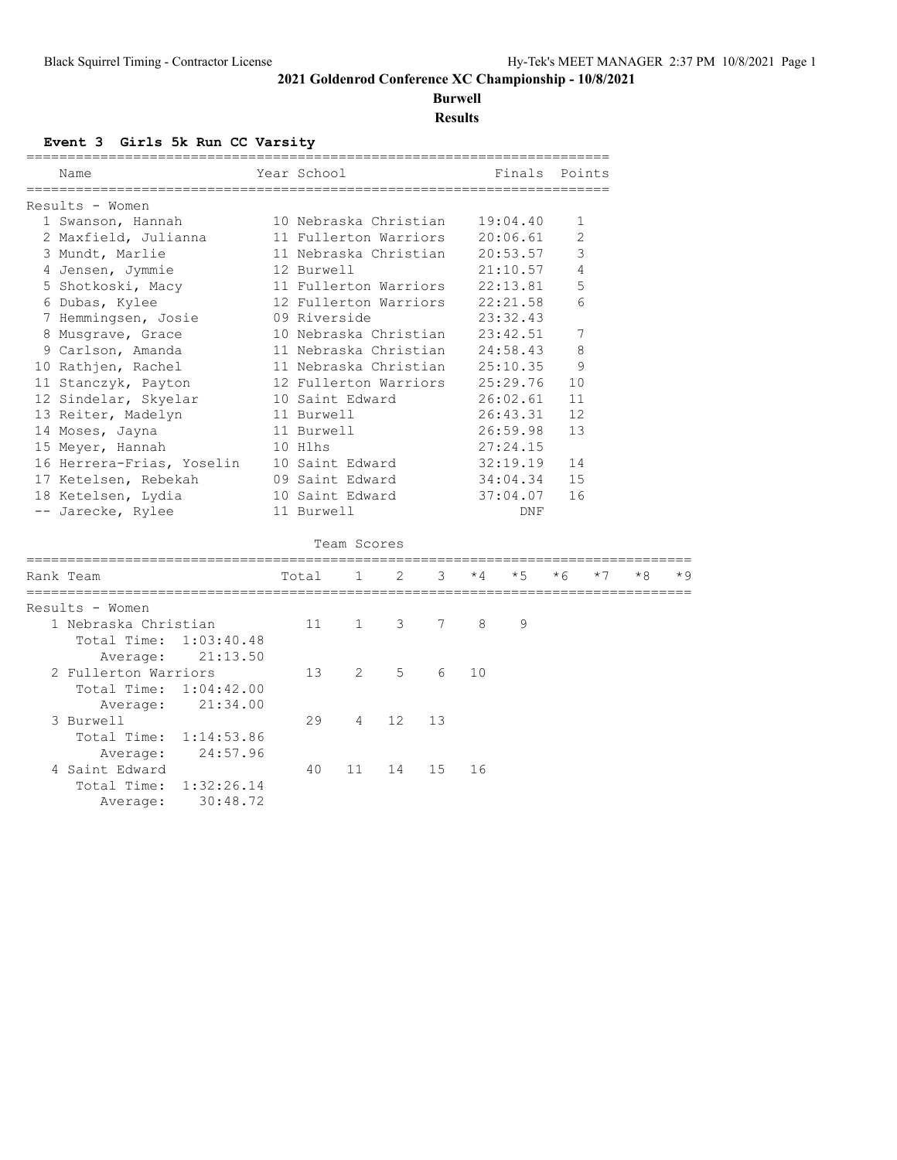**Burwell**

### **Results**

#### **Event 3 Girls 5k Run CC Varsity**

| Name                       |            | Year School           |                       |    |    |                | ____________________________<br>Finals | Points         |      |    |     |
|----------------------------|------------|-----------------------|-----------------------|----|----|----------------|----------------------------------------|----------------|------|----|-----|
| Results - Women            |            |                       |                       |    |    |                |                                        |                |      |    |     |
| 1 Swanson, Hannah          |            | 10 Nebraska Christian |                       |    |    |                | 19:04.40                               | 1              |      |    |     |
| 2 Maxfield, Julianna       |            |                       | 11 Fullerton Warriors |    |    |                | 20:06.61                               | $\overline{2}$ |      |    |     |
| 3 Mundt, Marlie            |            |                       | 11 Nebraska Christian |    |    |                | 20:53.57                               | 3              |      |    |     |
| 4 Jensen, Jymmie           |            | 12 Burwell            |                       |    |    |                | 21:10.57                               | 4              |      |    |     |
| 5 Shotkoski, Macy          |            | 11 Fullerton Warriors |                       |    |    | 22:13.81       | 5                                      |                |      |    |     |
| 6 Dubas, Kylee             |            | 12 Fullerton Warriors |                       |    |    |                | 22:21.58                               | 6              |      |    |     |
| 7 Hemmingsen, Josie        |            | 09 Riverside          |                       |    |    |                | 23:32.43                               |                |      |    |     |
| 8 Musgrave, Grace          |            | 10 Nebraska Christian |                       |    |    |                | 23:42.51                               | 7              |      |    |     |
| 9 Carlson, Amanda          |            | 11 Nebraska Christian |                       |    |    |                | 24:58.43                               | 8              |      |    |     |
| 10 Rathjen, Rachel         |            | 11 Nebraska Christian |                       |    |    | 25:10.35       | 9                                      |                |      |    |     |
| 11 Stanczyk, Payton        |            | 12 Fullerton Warriors |                       |    |    |                | 25:29.76                               | 10             |      |    |     |
| 12 Sindelar, Skyelar       |            | 10 Saint Edward       |                       |    |    |                | 26:02.61                               | 11             |      |    |     |
| 13 Reiter, Madelyn         |            | 11 Burwell            |                       |    |    |                | 26:43.31                               | 12             |      |    |     |
| 14 Moses, Jayna            |            | 11 Burwell            |                       |    |    |                | 26:59.98                               | 13             |      |    |     |
| 15 Meyer, Hannah           |            | 10 Hlhs               |                       |    |    |                | 27:24.15                               |                |      |    |     |
| 16 Herrera-Frias, Yoselin  |            | 10 Saint Edward       |                       |    |    |                | 32:19.19                               | 14             |      |    |     |
| 17 Ketelsen, Rebekah       |            | 09 Saint Edward       |                       |    |    | 34:04.34<br>15 |                                        |                |      |    |     |
| 18 Ketelsen, Lydia         |            | 10 Saint Edward       |                       |    |    |                | 37:04.07                               | 16             |      |    |     |
| -- Jarecke, Rylee          |            | 11 Burwell            |                       |    |    |                | DNF                                    |                |      |    |     |
|                            |            |                       | Team Scores           |    |    |                |                                        |                |      |    |     |
| Rank Team<br>_____________ |            | Total                 | 1                     | 2  | 3  | $*4$           | $*5$                                   | $*6$           | $*7$ | *8 | * 9 |
| Results - Women            |            |                       |                       |    |    |                |                                        |                |      |    |     |
| 1 Nebraska Christian       |            | 11                    | $\mathbf{1}$          | 3  | 7  | 8              | 9                                      |                |      |    |     |
| Total Time:                | 1:03:40.48 |                       |                       |    |    |                |                                        |                |      |    |     |
| Average:                   | 21:13.50   |                       |                       |    |    |                |                                        |                |      |    |     |
| 2 Fullerton Warriors       |            | 13                    | 2                     | 5  | 6  | 10             |                                        |                |      |    |     |
| Total Time:                | 1:04:42.00 |                       |                       |    |    |                |                                        |                |      |    |     |
| Average:                   | 21:34.00   |                       |                       |    |    |                |                                        |                |      |    |     |
| 3 Burwell                  |            | 29                    | 4                     | 12 | 13 |                |                                        |                |      |    |     |
| Total Time:                | 1:14:53.86 |                       |                       |    |    |                |                                        |                |      |    |     |
| Average:                   | 24:57.96   |                       |                       |    |    |                |                                        |                |      |    |     |
| 4 Saint Edward             |            | 40                    | 11                    | 14 | 15 | 16             |                                        |                |      |    |     |
| Total Time:                | 1:32:26.14 |                       |                       |    |    |                |                                        |                |      |    |     |
| Average:                   | 30:48.72   |                       |                       |    |    |                |                                        |                |      |    |     |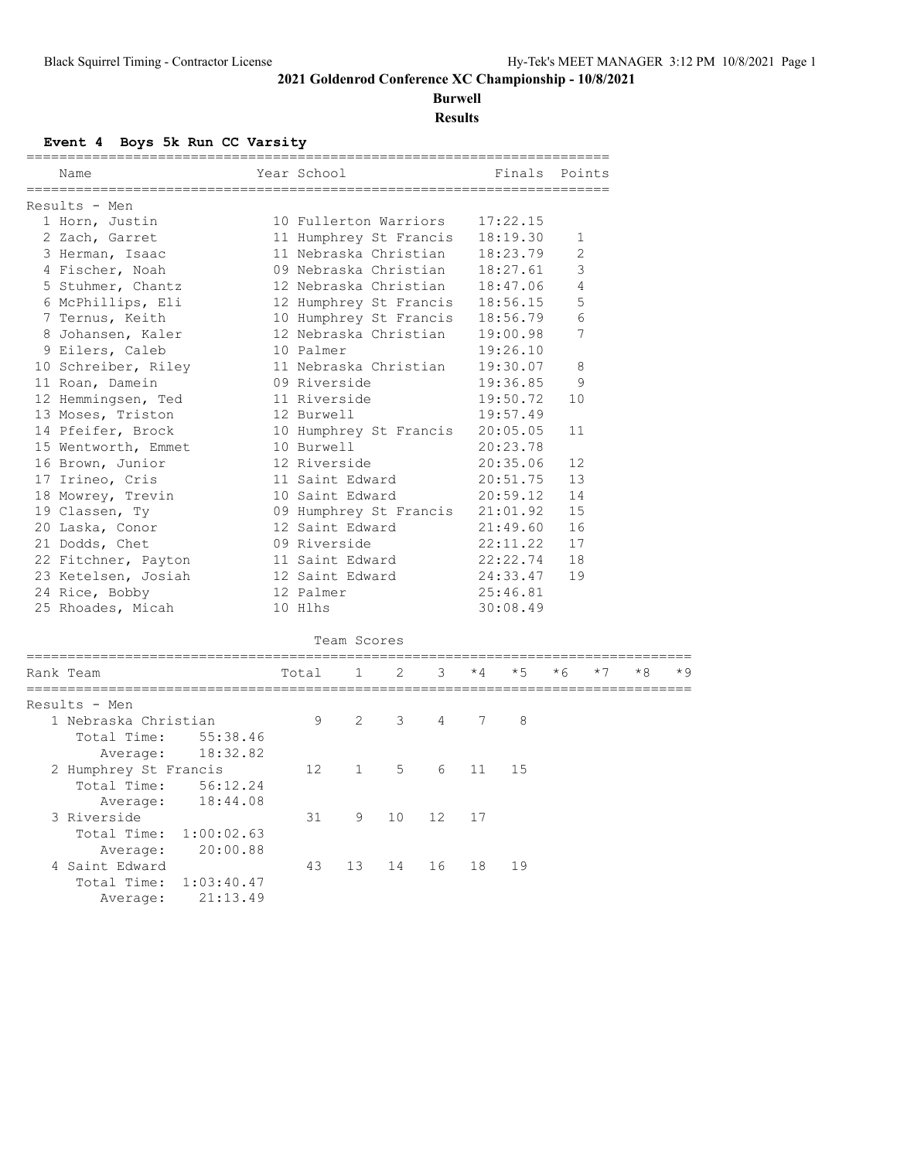# **Burwell**

**Results**

#### **Event 4 Boys 5k Run CC Varsity**

| Name                      | Year School       |              |                        |                   |      | Finals Points                   |              |      |    |     |
|---------------------------|-------------------|--------------|------------------------|-------------------|------|---------------------------------|--------------|------|----|-----|
| Results - Men             |                   |              |                        |                   |      |                                 |              |      |    |     |
| 1 Horn, Justin            |                   |              | 10 Fullerton Warriors  |                   |      | 17:22.15                        |              |      |    |     |
| 2 Zach, Garret            |                   |              | 11 Humphrey St Francis |                   |      | 18:19.30                        | $\mathbf{1}$ |      |    |     |
| 3 Herman, Isaac           |                   |              | 11 Nebraska Christian  |                   |      | 18:23.79                        | 2            |      |    |     |
| 4 Fischer, Noah           |                   |              | 09 Nebraska Christian  |                   |      | 18:27.61                        | 3            |      |    |     |
| 5 Stuhmer, Chantz         |                   |              | 12 Nebraska Christian  |                   |      | 18:47.06                        | 4            |      |    |     |
| 6 McPhillips, Eli         |                   |              | 12 Humphrey St Francis |                   |      | 18:56.15                        | 5            |      |    |     |
| 7 Ternus, Keith           |                   |              |                        |                   |      | 10 Humphrey St Francis 18:56.79 | 6            |      |    |     |
| 8 Johansen, Kaler         |                   |              | 12 Nebraska Christian  |                   |      | 19:00.98                        | 7            |      |    |     |
| 9 Eilers, Caleb           | 10 Palmer         |              |                        |                   |      | 19:26.10                        |              |      |    |     |
| 10 Schreiber, Riley       |                   |              | 11 Nebraska Christian  |                   |      | 19:30.07                        | 8            |      |    |     |
| 11 Roan, Damein           | 09 Riverside      |              |                        |                   |      | 19:36.85                        | 9            |      |    |     |
| 12 Hemmingsen, Ted        | 11 Riverside      |              |                        |                   |      | 19:50.72                        | 10           |      |    |     |
| 13 Moses, Triston         | 12 Burwell        |              |                        |                   |      | 19:57.49                        |              |      |    |     |
| 14 Pfeifer, Brock         |                   |              | 10 Humphrey St Francis |                   |      | 20:05.05                        | 11           |      |    |     |
| 15 Wentworth, Emmet       | 10 Burwell        |              |                        |                   |      | 20:23.78                        |              |      |    |     |
| 16 Brown, Junior          | 12 Riverside      |              |                        |                   |      | 20:35.06                        | 12           |      |    |     |
| 17 Irineo, Cris           | 11 Saint Edward   |              |                        |                   |      | 20:51.75                        | 13           |      |    |     |
| 18 Mowrey, Trevin         | 10 Saint Edward   |              |                        |                   |      | 20:59.12                        | 14           |      |    |     |
| 19 Classen, Ty            |                   |              | 09 Humphrey St Francis |                   |      | 21:01.92                        | 15           |      |    |     |
| 20 Laska, Conor           | 12 Saint Edward   |              |                        |                   |      | 21:49.60                        | 16           |      |    |     |
| 21 Dodds, Chet            | 09 Riverside      |              |                        |                   |      | 22:11.22                        | 17           |      |    |     |
| 22 Fitchner, Payton       | 11 Saint Edward   |              |                        |                   |      | 22:22.74                        | 18           |      |    |     |
| 23 Ketelsen, Josiah       | 12 Saint Edward   |              |                        |                   |      | 24:33.47                        | 19           |      |    |     |
| 24 Rice, Bobby            | 12 Palmer         |              |                        |                   |      | 25:46.81                        |              |      |    |     |
|                           | 10 Hlhs           |              |                        |                   |      | 30:08.49                        |              |      |    |     |
| 25 Rhoades, Micah         |                   |              |                        |                   |      |                                 |              |      |    |     |
|                           |                   | Team Scores  |                        |                   |      |                                 |              |      |    |     |
| Rank Team                 | Total             | $\mathbf{1}$ | 2                      | 3                 | $*4$ | $*5$                            | $*6$         | $*7$ | *8 | * 9 |
| -----------------------   |                   |              |                        |                   |      |                                 |              |      |    |     |
| Results - Men             |                   |              |                        |                   |      |                                 |              |      |    |     |
| 1 Nebraska Christian      | 9                 | 2            | 3                      | 4                 | 7    | 8                               |              |      |    |     |
| Total Time:<br>55:38.46   |                   |              |                        |                   |      |                                 |              |      |    |     |
| 18:32.82<br>Average:      |                   |              |                        |                   |      |                                 |              |      |    |     |
| 2 Humphrey St Francis     | $12 \overline{ }$ | $\mathbf{1}$ | 5                      | 6                 | 11   | 15                              |              |      |    |     |
| Total Time:<br>56:12.24   |                   |              |                        |                   |      |                                 |              |      |    |     |
| 18:44.08<br>Average:      |                   |              |                        |                   |      |                                 |              |      |    |     |
| 3 Riverside               | 31                | 9            | 10                     | $12 \overline{ }$ | 17   |                                 |              |      |    |     |
| Total Time: 1:00:02.63    |                   |              |                        |                   |      |                                 |              |      |    |     |
| 20:00.88<br>Average:      |                   |              |                        |                   |      |                                 |              |      |    |     |
| 4 Saint Edward            | 43                | 13           | 14                     | 16                | 18   | 19                              |              |      |    |     |
| Total Time:<br>1:03:40.47 |                   |              |                        |                   |      |                                 |              |      |    |     |
| 21:13.49<br>Average:      |                   |              |                        |                   |      |                                 |              |      |    |     |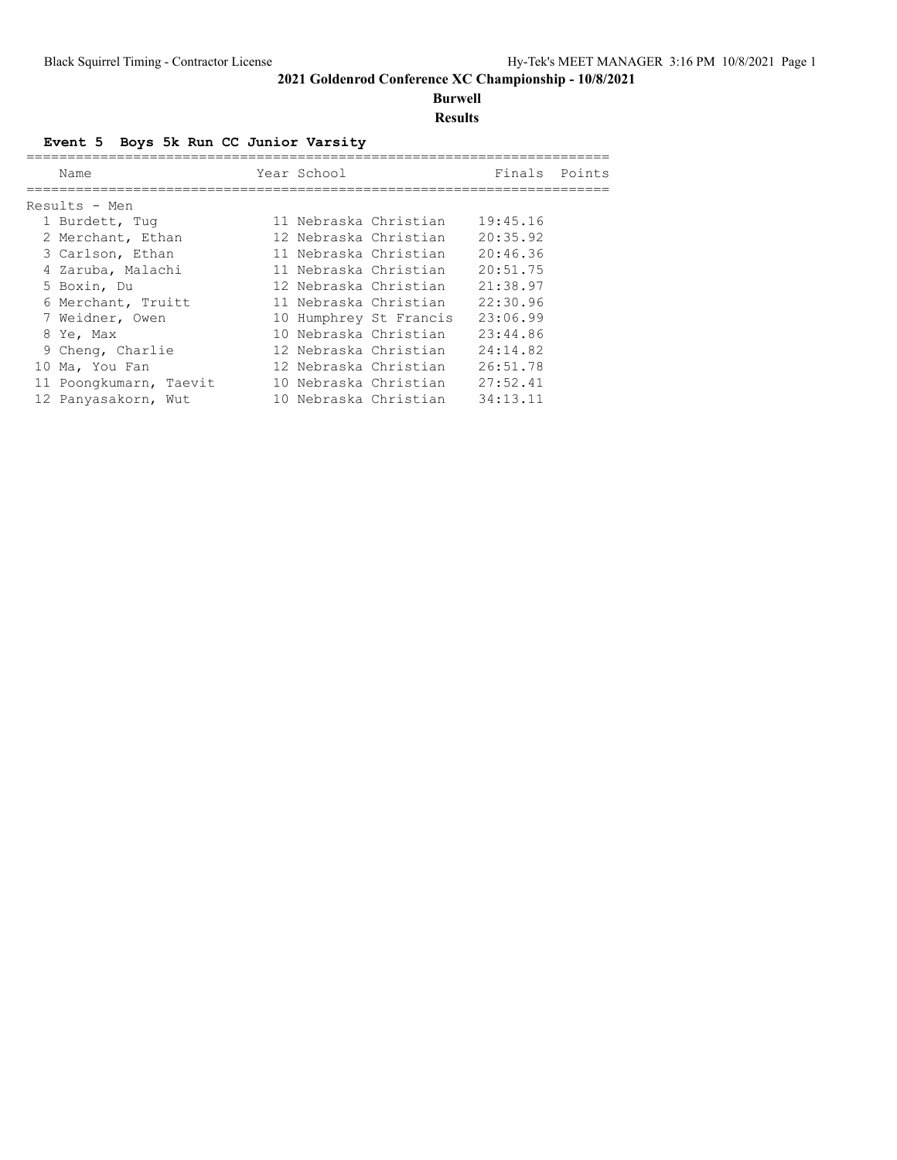# **Burwell**

**Results**

### **Event 5 Boys 5k Run CC Junior Varsity**

| Name                   | Year School |                        | Finals   | Points |
|------------------------|-------------|------------------------|----------|--------|
| Results - Men          |             |                        |          |        |
| 1 Burdett, Tuq         |             | 11 Nebraska Christian  | 19:45.16 |        |
| 2 Merchant, Ethan      |             | 12 Nebraska Christian  | 20:35.92 |        |
| 3 Carlson, Ethan       |             | 11 Nebraska Christian  | 20:46.36 |        |
| 4 Zaruba, Malachi      |             | 11 Nebraska Christian  | 20:51.75 |        |
| 5 Boxin, Du            |             | 12 Nebraska Christian  | 21:38.97 |        |
| 6 Merchant, Truitt     |             | 11 Nebraska Christian  | 22:30.96 |        |
| 7 Weidner, Owen        |             | 10 Humphrey St Francis | 23:06.99 |        |
| 8 Ye, Max              |             | 10 Nebraska Christian  | 23:44.86 |        |
| 9 Cheng, Charlie       |             | 12 Nebraska Christian  | 24:14.82 |        |
| 10 Ma, You Fan         |             | 12 Nebraska Christian  | 26:51.78 |        |
| 11 Poongkumarn, Taevit |             | 10 Nebraska Christian  | 27:52.41 |        |
| 12 Panyasakorn, Wut    |             | 10 Nebraska Christian  | 34:13.11 |        |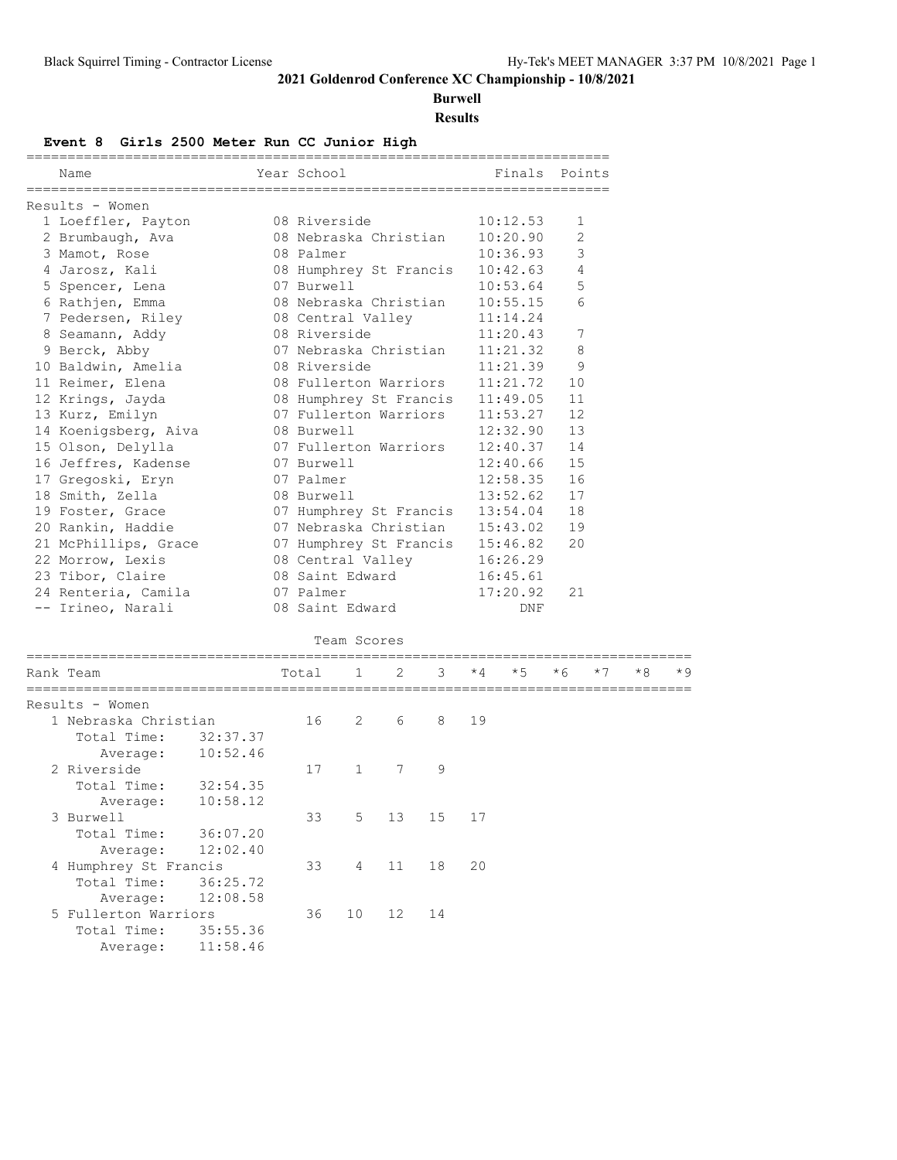**Burwell**

**Results**

#### **Event 8 Girls 2500 Meter Run CC Junior High**

| Name                                                           | Year School                     | Finals Points |                |
|----------------------------------------------------------------|---------------------------------|---------------|----------------|
| Results - Women                                                |                                 |               |                |
| 1 Loeffler, Payton                                             | 08 Riverside                    | 10:12.53      | 1              |
| 2 Brumbaugh, Ava                                               | 08 Nebraska Christian           | 10:20.90      | $\overline{2}$ |
| 3 Mamot, Rose                                                  | 08 Palmer                       | 10:36.93      | 3              |
| 4 Jarosz, Kali                 08 Humphrey St Francis 10:42.63 |                                 |               | $\overline{4}$ |
| 5 Spencer, Lena                                                | 07 Burwell                      | 10:53.64      | 5              |
| 6 Rathjen, Emma                                                | 08 Nebraska Christian 10:55.15  |               | 6              |
| 7 Pedersen, Riley 68 Central Valley 11:14.24                   |                                 |               |                |
| 8 Seamann, Addy                                                | 08 Riverside                    | 11:20.43      | 7              |
| 9 Berck, Abby                                                  | 07 Nebraska Christian 11:21.32  |               | 8              |
| 10 Baldwin, Amelia                                             | 08 Riverside                    | 11:21.39      | 9              |
| 11 Reimer, Elena                                               | 08 Fullerton Warriors 11:21.72  |               | 10             |
| 12 Krings, Jayda 68 Humphrey St Francis 11:49.05               |                                 |               | 11             |
| 13 Kurz, Emilyn                                                | 07 Fullerton Warriors           | 11:53.27      | 12             |
| 14 Koenigsberg, Aiva 68 Burwell                                |                                 | 12:32.90      | 13             |
| 15 Olson, Delylla                                              | 07 Fullerton Warriors 12:40.37  |               | 14             |
| 16 Jeffres, Kadense                                            | 07 Burwell                      | $12:40.66$ 15 |                |
| 17 Gregoski, Eryn                                              | 07 Palmer                       | 12:58.35      | 16             |
| 18 Smith, Zella                                                | 08 Burwell                      | 13:52.62      | 17             |
| 19 Foster, Grace                                               | 07 Humphrey St Francis 13:54.04 |               | 18             |
| 20 Rankin, Haddie                                              | 07 Nebraska Christian 15:43.02  |               | 19             |
| 21 McPhillips, Grace                                           | 07 Humphrey St Francis 15:46.82 |               | 20             |
| 22 Morrow, Lexis                                               | 08 Central Valley 16:26.29      |               |                |
| 23 Tibor, Claire                                               | 08 Saint Edward 16:45.61        |               |                |
| 24 Renteria, Camila                                            | 07 Palmer                       | 17:20.92      | 21             |
| -- Irineo, Narali                                              | 08 Saint Edward                 | <b>DNF</b>    |                |
|                                                                | Team Scores                     |               |                |

| Rank Team             |          | Total | $\mathbf{1}$   | 2           | 3            | $*4$ | $*5$ | $*6$ | $*7$ | $*8$ | $*9$ |
|-----------------------|----------|-------|----------------|-------------|--------------|------|------|------|------|------|------|
| Results - Women       |          |       |                |             |              |      |      |      |      |      |      |
| 1 Nebraska Christian  |          | 16    | 2              | 6           | 8            | 19   |      |      |      |      |      |
| Total Time:           | 32:37.37 |       |                |             |              |      |      |      |      |      |      |
| Average:              | 10:52.46 |       |                |             |              |      |      |      |      |      |      |
| 2 Riverside           |          | 17    | $\mathbf{1}$   | $7^{\circ}$ | $\mathsf{Q}$ |      |      |      |      |      |      |
| Total Time:           | 32:54.35 |       |                |             |              |      |      |      |      |      |      |
| Average:              | 10:58.12 |       |                |             |              |      |      |      |      |      |      |
| 3 Burwell             |          | 33    | 5              | 13          | 15 17        |      |      |      |      |      |      |
| Total Time:           | 36:07.20 |       |                |             |              |      |      |      |      |      |      |
| Average:              | 12:02.40 |       |                |             |              |      |      |      |      |      |      |
| 4 Humphrey St Francis |          | 33    | $\overline{4}$ | 11          | 18           | 20   |      |      |      |      |      |
| Total Time:           | 36:25.72 |       |                |             |              |      |      |      |      |      |      |
| Average:              | 12:08.58 |       |                |             |              |      |      |      |      |      |      |
| 5 Fullerton Warriors  |          | 36    | 10             | 12          | 14           |      |      |      |      |      |      |
| Total Time:           | 35:55.36 |       |                |             |              |      |      |      |      |      |      |
| Average:              | 11:58.46 |       |                |             |              |      |      |      |      |      |      |
|                       |          |       |                |             |              |      |      |      |      |      |      |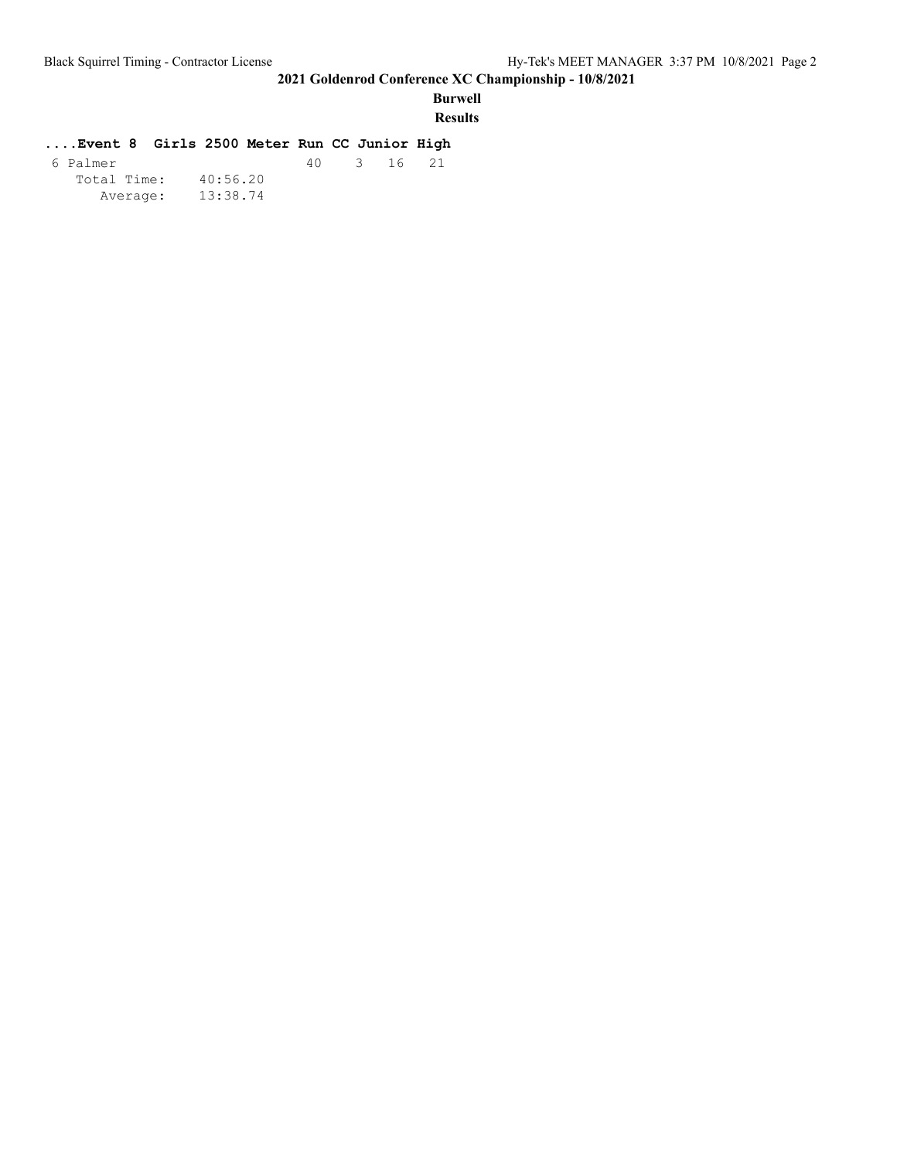## **Burwell**

**Results**

#### **....Event 8 Girls 2500 Meter Run CC Junior High**

| 6 Palmer    |          | 40 | 3 16 21 |  |
|-------------|----------|----|---------|--|
| Total Time: | 40:56.20 |    |         |  |
| Average:    | 13:38.74 |    |         |  |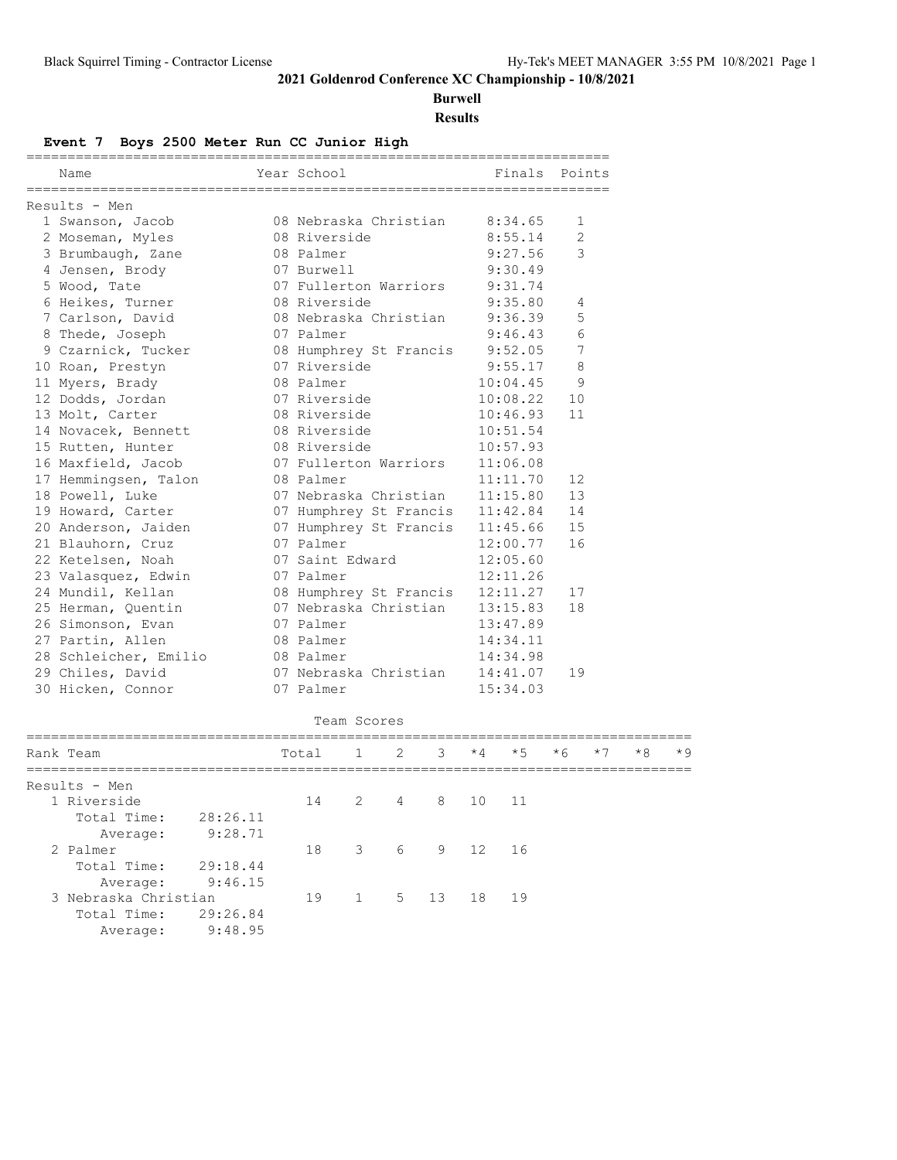**Burwell**

**Results**

#### **Event 7 Boys 2500 Meter Run CC Junior High**

| Name                  | Year School                           |              | Finals Points  |
|-----------------------|---------------------------------------|--------------|----------------|
| Results - Men         |                                       |              |                |
| 1 Swanson, Jacob      | 08 Nebraska Christian                 | 8:34.65      | 1              |
| 2 Moseman, Myles      | 08 Riverside                          | 8:55.14      | $\overline{2}$ |
| 3 Brumbaugh, Zane     | 08 Palmer                             | 9:27.56      | 3              |
| 4 Jensen, Brody       | 07 Burwell                            | 9:30.49      |                |
| 5 Wood, Tate          | 07 Fullerton Warriors                 | 9:31.74      |                |
| 6 Heikes, Turner      | 08 Riverside                          | 9:35.80      | 4              |
| 7 Carlson, David      | 08 Nebraska Christian                 | 9:36.39      | 5              |
| 8 Thede, Joseph       | 07 Palmer                             | 9:46.43      | 6              |
| 9 Czarnick, Tucker    | 08 Humphrey St Francis 9:52.05        |              | 7              |
| 10 Roan, Prestyn      | 07 Riverside                          | 9:55.17      | 8              |
| 11 Myers, Brady       | 08 Palmer                             | 10:04.45     | 9              |
| 12 Dodds, Jordan      | 07 Riverside                          | 10:08.22     | 10             |
| 13 Molt, Carter       | 08 Riverside                          | 10:46.93     | 11             |
| 14 Novacek, Bennett   | 08 Riverside                          | 10:51.54     |                |
| 15 Rutten, Hunter     | 08 Riverside                          | 10:57.93     |                |
| 16 Maxfield, Jacob    | 07 Fullerton Warriors                 | 11:06.08     |                |
| 17 Hemmingsen, Talon  | 08 Palmer                             | 11:11.70     | 12             |
| 18 Powell, Luke       | 07 Nebraska Christian                 | 11:15.80     | 13             |
| 19 Howard, Carter     | 07 Humphrey St Francis 11:42.84       |              | 14             |
| 20 Anderson, Jaiden   | 07 Humphrey St Francis 11:45.66       |              | 15             |
| 21 Blauhorn, Cruz     | 07 Palmer                             | 12:00.77     | 16             |
| 22 Ketelsen, Noah     | 07 Saint Edward                       | 12:05.60     |                |
| 23 Valasquez, Edwin   | 07 Palmer                             | 12:11.26     |                |
| 24 Mundil, Kellan     | 08 Humphrey St Francis                | 12:11.27     | 17             |
| 25 Herman, Ouentin    | 07 Nebraska Christian                 | 13:15.83     | 18             |
| 26 Simonson, Evan     | 07 Palmer                             | 13:47.89     |                |
| 27 Partin, Allen      | 08 Palmer                             | 14:34.11     |                |
| 28 Schleicher, Emilio | 08 Palmer                             | 14:34.98     |                |
| 29 Chiles, David      | 07 Nebraska Christian                 | 14:41.07     | 19             |
| 30 Hicken, Connor     | 07 Palmer                             | 15:34.03     |                |
|                       | Team Scores                           |              |                |
| Rank Team             | $1 \quad 2$<br>$\mathcal{S}$<br>Total | $*5$<br>$*4$ | $*6$<br>$*7$   |

|    |                                                                            |          |                             |          |             |                                       |   | ╯       |
|----|----------------------------------------------------------------------------|----------|-----------------------------|----------|-------------|---------------------------------------|---|---------|
|    |                                                                            |          |                             |          |             |                                       |   |         |
| 14 |                                                                            |          |                             |          |             |                                       |   |         |
|    |                                                                            |          |                             |          |             |                                       |   |         |
|    |                                                                            |          |                             |          |             |                                       |   |         |
| 18 |                                                                            |          |                             |          |             |                                       |   |         |
|    |                                                                            |          |                             |          |             |                                       |   |         |
|    |                                                                            |          |                             |          |             |                                       |   |         |
| 19 |                                                                            |          |                             | 18       |             |                                       |   |         |
|    |                                                                            |          |                             |          |             |                                       |   |         |
|    |                                                                            |          |                             |          |             |                                       |   |         |
|    | TACAT<br>28:26.11<br>9:28.71<br>29:18.44<br>9:46.15<br>29:26.84<br>9:48.95 | <b>고</b> | $\sim$<br>$1 \qquad \qquad$ | <u>.</u> | - 그<br>5 13 | ◡<br>2 4 8 10 11<br>3 6 9 12 16<br>19 | ◡ | $\cdot$ |